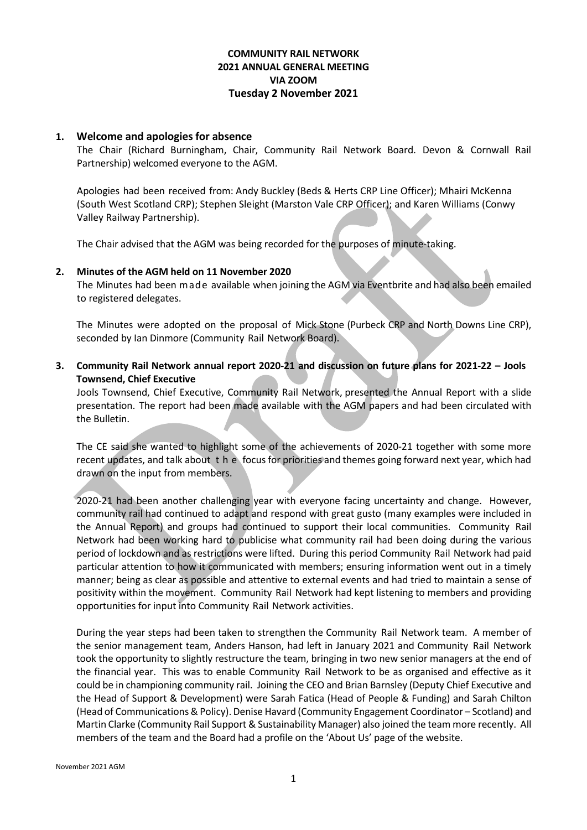# **COMMUNITY RAIL NETWORK 2021 ANNUAL GENERAL MEETING VIA ZOOM Tuesday 2 November 2021**

### **1. Welcome and apologies for absence**

The Chair (Richard Burningham, Chair, Community Rail Network Board. Devon & Cornwall Rail Partnership) welcomed everyone to the AGM.

Apologies had been received from: Andy Buckley (Beds & Herts CRP Line Officer); Mhairi McKenna (South West Scotland CRP); Stephen Sleight (Marston Vale CRP Officer); and Karen Williams (Conwy Valley Railway Partnership).

The Chair advised that the AGM was being recorded for the purposes of minute-taking.

### **2. Minutes of the AGM held on 11 November 2020**

The Minutes had been made available when joining the AGM via Eventbrite and had also been emailed to registered delegates.

The Minutes were adopted on the proposal of Mick Stone (Purbeck CRP and North Downs Line CRP), seconded by Ian Dinmore (Community Rail Network Board).

**3. Community Rail Network annual report 2020-21 and discussion on future plans for 2021-22 – Jools Townsend, Chief Executive**

Jools Townsend, Chief Executive, Community Rail Network, presented the Annual Report with a slide presentation. The report had been made available with the AGM papers and had been circulated with the Bulletin.

The CE said she wanted to highlight some of the achievements of 2020-21 together with some more recent updates, and talk about the focus for priorities and themes going forward next year, which had drawn on the input from members.

2020-21 had been another challenging year with everyone facing uncertainty and change. However, community rail had continued to adapt and respond with great gusto (many examples were included in the Annual Report) and groups had continued to support their local communities. Community Rail Network had been working hard to publicise what community rail had been doing during the various period of lockdown and as restrictions were lifted. During this period Community Rail Network had paid particular attention to how it communicated with members; ensuring information went out in a timely manner; being as clear as possible and attentive to external events and had tried to maintain a sense of positivity within the movement. Community Rail Network had kept listening to members and providing opportunities for input into Community Rail Network activities.

During the year steps had been taken to strengthen the Community Rail Network team. A member of the senior management team, Anders Hanson, had left in January 2021 and Community Rail Network took the opportunity to slightly restructure the team, bringing in two new senior managers at the end of the financial year. This was to enable Community Rail Network to be as organised and effective as it could be in championing community rail. Joining the CEO and Brian Barnsley (Deputy Chief Executive and the Head of Support & Development) were Sarah Fatica (Head of People & Funding) and Sarah Chilton (Head of Communications & Policy). Denise Havard (Community Engagement Coordinator – Scotland) and Martin Clarke (Community Rail Support & Sustainability Manager) also joined the team more recently. All members of the team and the Board had a profile on the 'About Us' page of the website.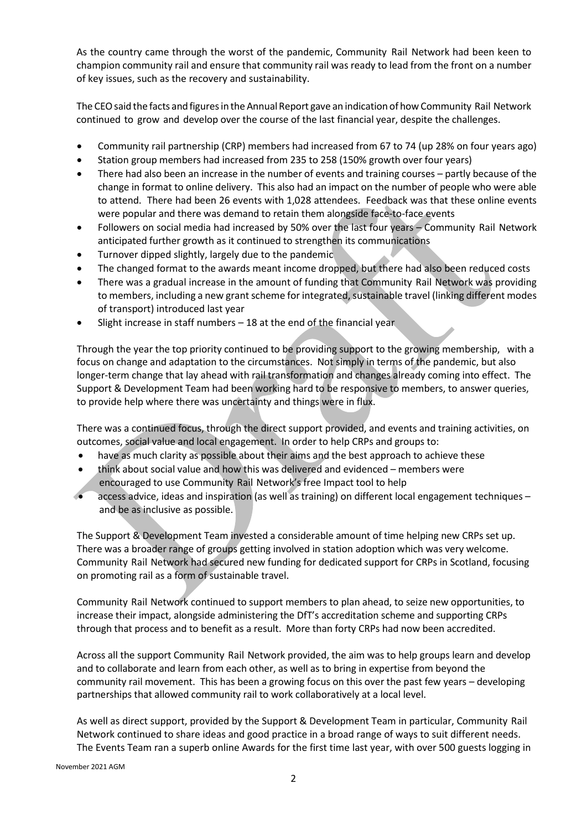As the country came through the worst of the pandemic, Community Rail Network had been keen to champion community rail and ensure that community rail was ready to lead from the front on a number of key issues, such as the recovery and sustainability.

The CEO said the facts and figures in the Annual Report gave an indication of how Community Rail Network continued to grow and develop over the course of the last financial year, despite the challenges.

- Community rail partnership (CRP) members had increased from 67 to 74 (up 28% on four years ago)
- Station group members had increased from 235 to 258 (150% growth over four years)
- There had also been an increase in the number of events and training courses partly because of the change in format to online delivery. This also had an impact on the number of people who were able to attend. There had been 26 events with 1,028 attendees. Feedback was that these online events were popular and there was demand to retain them alongside face-to-face events
- Followers on social media had increased by 50% over the last four years Community Rail Network anticipated further growth as it continued to strengthen its communications
- Turnover dipped slightly, largely due to the pandemic
- The changed format to the awards meant income dropped, but there had also been reduced costs
- There was a gradual increase in the amount of funding that Community Rail Network was providing to members, including a new grant scheme for integrated, sustainable travel (linking different modes of transport) introduced last year
- Slight increase in staff numbers  $-18$  at the end of the financial year

Through the year the top priority continued to be providing support to the growing membership, with a focus on change and adaptation to the circumstances. Not simply in terms of the pandemic, but also longer-term change that lay ahead with rail transformation and changes already coming into effect. The Support & Development Team had been working hard to be responsive to members, to answer queries, to provide help where there was uncertainty and things were in flux.

There was a continued focus, through the direct support provided, and events and training activities, on outcomes, social value and local engagement. In order to help CRPs and groups to:

- have as much clarity as possible about their aims and the best approach to achieve these
- think about social value and how this was delivered and evidenced members were encouraged to use Community Rail Network's free Impact tool to help
- access advice, ideas and inspiration (as well as training) on different local engagement techniques and be as inclusive as possible.

The Support & Development Team invested a considerable amount of time helping new CRPs set up. There was a broader range of groups getting involved in station adoption which was very welcome. Community Rail Network had secured new funding for dedicated support for CRPs in Scotland, focusing on promoting rail as a form of sustainable travel.

Community Rail Network continued to support members to plan ahead, to seize new opportunities, to increase their impact, alongside administering the DfT's accreditation scheme and supporting CRPs through that process and to benefit as a result. More than forty CRPs had now been accredited.

Across all the support Community Rail Network provided, the aim was to help groups learn and develop and to collaborate and learn from each other, as well as to bring in expertise from beyond the community rail movement. This has been a growing focus on this over the past few years – developing partnerships that allowed community rail to work collaboratively at a local level.

As well as direct support, provided by the Support & Development Team in particular, Community Rail Network continued to share ideas and good practice in a broad range of ways to suit different needs. The Events Team ran a superb online Awards for the first time last year, with over 500 guests logging in

November 2021 AGM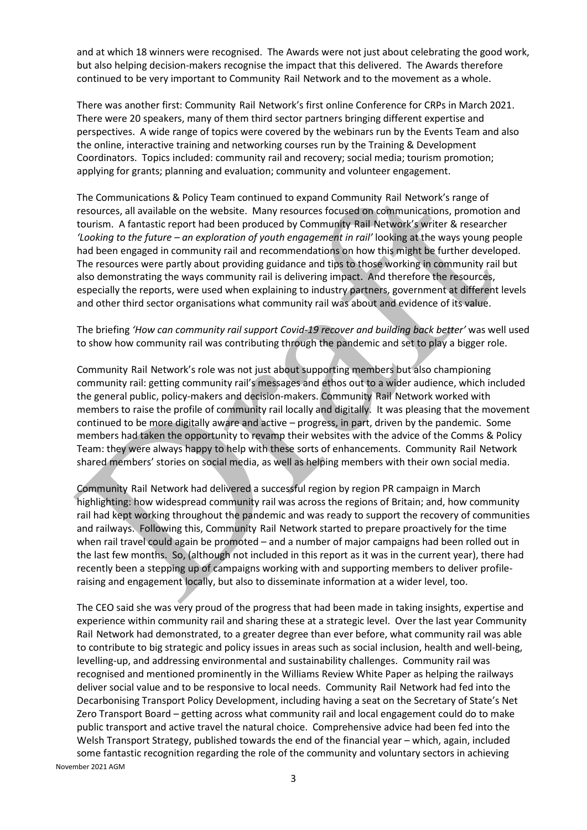and at which 18 winners were recognised. The Awards were not just about celebrating the good work, but also helping decision-makers recognise the impact that this delivered. The Awards therefore continued to be very important to Community Rail Network and to the movement as a whole.

There was another first: Community Rail Network's first online Conference for CRPs in March 2021. There were 20 speakers, many of them third sector partners bringing different expertise and perspectives. A wide range of topics were covered by the webinars run by the Events Team and also the online, interactive training and networking courses run by the Training & Development Coordinators. Topics included: community rail and recovery; social media; tourism promotion; applying for grants; planning and evaluation; community and volunteer engagement.

The Communications & Policy Team continued to expand Community Rail Network's range of resources, all available on the website. Many resources focused on communications, promotion and tourism. A fantastic report had been produced by Community Rail Network's writer & researcher *'Looking to the future – an exploration of youth engagement in rail'* looking at the ways young people had been engaged in community rail and recommendations on how this might be further developed. The resources were partly about providing guidance and tips to those working in community rail but also demonstrating the ways community rail is delivering impact. And therefore the resources, especially the reports, were used when explaining to industry partners, government at different levels and other third sector organisations what community rail was about and evidence of its value.

# The briefing *'How can community rail support Covid-19 recover and building back better'* was well used to show how community rail was contributing through the pandemic and set to play a bigger role.

Community Rail Network's role was not just about supporting members but also championing community rail: getting community rail's messages and ethos out to a wider audience, which included the general public, policy-makers and decision-makers. Community Rail Network worked with members to raise the profile of community rail locally and digitally. It was pleasing that the movement continued to be more digitally aware and active – progress, in part, driven by the pandemic. Some members had taken the opportunity to revamp their websites with the advice of the Comms & Policy Team: they were always happy to help with these sorts of enhancements. Community Rail Network shared members' stories on social media, as well as helping members with their own social media.

Community Rail Network had delivered a successful region by region PR campaign in March highlighting: how widespread community rail was across the regions of Britain; and, how community rail had kept working throughout the pandemic and was ready to support the recovery of communities and railways. Following this, Community Rail Network started to prepare proactively for the time when rail travel could again be promoted – and a number of major campaigns had been rolled out in the last few months. So, (although not included in this report as it was in the current year), there had recently been a stepping up of campaigns working with and supporting members to deliver profileraising and engagement locally, but also to disseminate information at a wider level, too.

November 2021 AGM The CEO said she was very proud of the progress that had been made in taking insights, expertise and experience within community rail and sharing these at a strategic level. Over the last year Community Rail Network had demonstrated, to a greater degree than ever before, what community rail was able to contribute to big strategic and policy issues in areas such as social inclusion, health and well-being, levelling-up, and addressing environmental and sustainability challenges. Community rail was recognised and mentioned prominently in the Williams Review White Paper as helping the railways deliver social value and to be responsive to local needs. Community Rail Network had fed into the Decarbonising Transport Policy Development, including having a seat on the Secretary of State's Net Zero Transport Board – getting across what community rail and local engagement could do to make public transport and active travel the natural choice. Comprehensive advice had been fed into the Welsh Transport Strategy, published towards the end of the financial year – which, again, included some fantastic recognition regarding the role of the community and voluntary sectors in achieving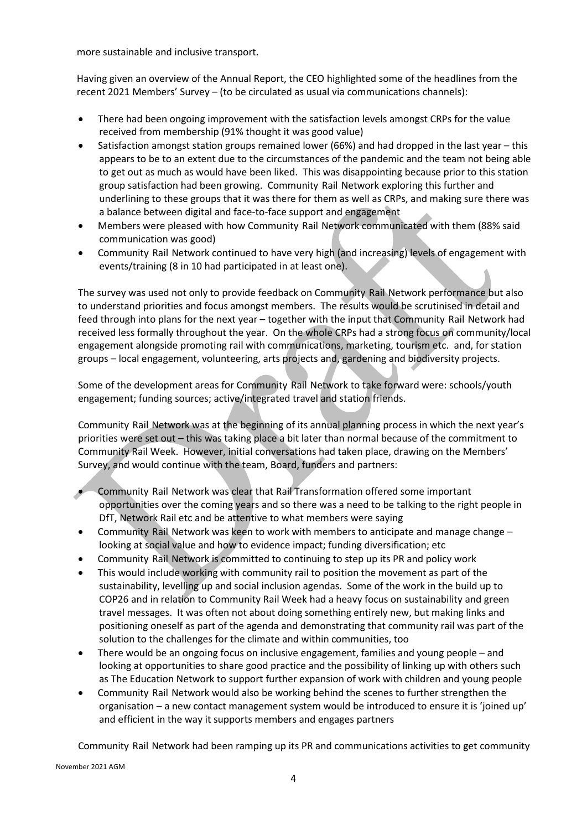more sustainable and inclusive transport.

Having given an overview of the Annual Report, the CEO highlighted some of the headlines from the recent 2021 Members' Survey – (to be circulated as usual via communications channels):

- There had been ongoing improvement with the satisfaction levels amongst CRPs for the value received from membership (91% thought it was good value)
- Satisfaction amongst station groups remained lower (66%) and had dropped in the last year this appears to be to an extent due to the circumstances of the pandemic and the team not being able to get out as much as would have been liked. This was disappointing because prior to this station group satisfaction had been growing. Community Rail Network exploring this further and underlining to these groups that it was there for them as well as CRPs, and making sure there was a balance between digital and face-to-face support and engagement
- Members were pleased with how Community Rail Network communicated with them (88% said communication was good)
- Community Rail Network continued to have very high (and increasing) levels of engagement with events/training (8 in 10 had participated in at least one).

The survey was used not only to provide feedback on Community Rail Network performance but also to understand priorities and focus amongst members. The results would be scrutinised in detail and feed through into plans for the next year – together with the input that Community Rail Network had received less formally throughout the year. On the whole CRPs had a strong focus on community/local engagement alongside promoting rail with communications, marketing, tourism etc. and, for station groups – local engagement, volunteering, arts projects and, gardening and biodiversity projects.

Some of the development areas for Community Rail Network to take forward were: schools/youth engagement; funding sources; active/integrated travel and station friends.

Community Rail Network was at the beginning of its annual planning process in which the next year's priorities were set out – this was taking place a bit later than normal because of the commitment to Community Rail Week. However, initial conversations had taken place, drawing on the Members' Survey, and would continue with the team, Board, funders and partners:

- Community Rail Network was clear that Rail Transformation offered some important opportunities over the coming years and so there was a need to be talking to the right people in DfT, Network Rail etc and be attentive to what members were saying
- Community Rail Network was keen to work with members to anticipate and manage change looking at social value and how to evidence impact; funding diversification; etc
- Community Rail Network is committed to continuing to step up its PR and policy work
- This would include working with community rail to position the movement as part of the sustainability, levelling up and social inclusion agendas. Some of the work in the build up to COP26 and in relation to Community Rail Week had a heavy focus on sustainability and green travel messages. It was often not about doing something entirely new, but making links and positioning oneself as part of the agenda and demonstrating that community rail was part of the solution to the challenges for the climate and within communities, too
- There would be an ongoing focus on inclusive engagement, families and young people and looking at opportunities to share good practice and the possibility of linking up with others such as The Education Network to support further expansion of work with children and young people
- Community Rail Network would also be working behind the scenes to further strengthen the organisation – a new contact management system would be introduced to ensure it is 'joined up' and efficient in the way it supports members and engages partners

Community Rail Network had been ramping up its PR and communications activities to get community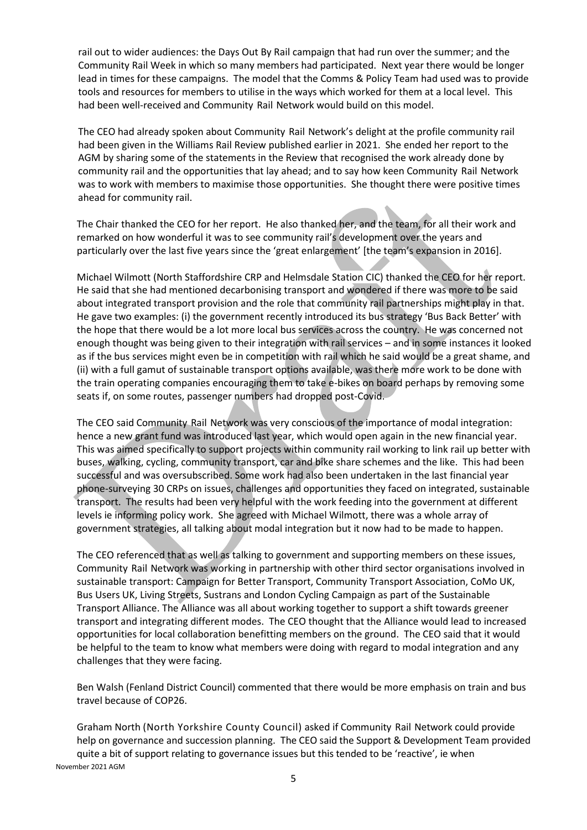rail out to wider audiences: the Days Out By Rail campaign that had run over the summer; and the Community Rail Week in which so many members had participated. Next year there would be longer lead in times for these campaigns. The model that the Comms & Policy Team had used was to provide tools and resources for members to utilise in the ways which worked for them at a local level. This had been well-received and Community Rail Network would build on this model.

The CEO had already spoken about Community Rail Network's delight at the profile community rail had been given in the Williams Rail Review published earlier in 2021. She ended her report to the AGM by sharing some of the statements in the Review that recognised the work already done by community rail and the opportunities that lay ahead; and to say how keen Community Rail Network was to work with members to maximise those opportunities. She thought there were positive times ahead for community rail.

The Chair thanked the CEO for her report. He also thanked her, and the team, for all their work and remarked on how wonderful it was to see community rail's development over the years and particularly over the last five years since the 'great enlargement' [the team's expansion in 2016].

Michael Wilmott (North Staffordshire CRP and Helmsdale Station CIC) thanked the CEO for her report. He said that she had mentioned decarbonising transport and wondered if there was more to be said about integrated transport provision and the role that community rail partnerships might play in that. He gave two examples: (i) the government recently introduced its bus strategy 'Bus Back Better' with the hope that there would be a lot more local bus services across the country. He was concerned not enough thought was being given to their integration with rail services – and in some instances it looked as if the bus services might even be in competition with rail which he said would be a great shame, and (ii) with a full gamut of sustainable transport options available, was there more work to be done with the train operating companies encouraging them to take e-bikes on board perhaps by removing some seats if, on some routes, passenger numbers had dropped post-Covid.

The CEO said Community Rail Network was very conscious of the importance of modal integration: hence a new grant fund was introduced last year, which would open again in the new financial year. This was aimed specifically to support projects within community rail working to link rail up better with buses, walking, cycling, community transport, car and bike share schemes and the like. This had been successful and was oversubscribed. Some work had also been undertaken in the last financial year phone-surveying 30 CRPs on issues, challenges and opportunities they faced on integrated, sustainable transport. The results had been very helpful with the work feeding into the government at different levels ie informing policy work. She agreed with Michael Wilmott, there was a whole array of government strategies, all talking about modal integration but it now had to be made to happen.

The CEO referenced that as well as talking to government and supporting members on these issues, Community Rail Network was working in partnership with other third sector organisations involved in sustainable transport: Campaign for Better Transport, Community Transport Association, CoMo UK, Bus Users UK, Living Streets, Sustrans and London Cycling Campaign as part of the Sustainable Transport Alliance. The Alliance was all about working together to support a shift towards greener transport and integrating different modes. The CEO thought that the Alliance would lead to increased opportunities for local collaboration benefitting members on the ground. The CEO said that it would be helpful to the team to know what members were doing with regard to modal integration and any challenges that they were facing.

Ben Walsh (Fenland District Council) commented that there would be more emphasis on train and bus travel because of COP26.

November 2021 AGM Graham North (North Yorkshire County Council) asked if Community Rail Network could provide help on governance and succession planning. The CEO said the Support & Development Team provided quite a bit of support relating to governance issues but this tended to be 'reactive', ie when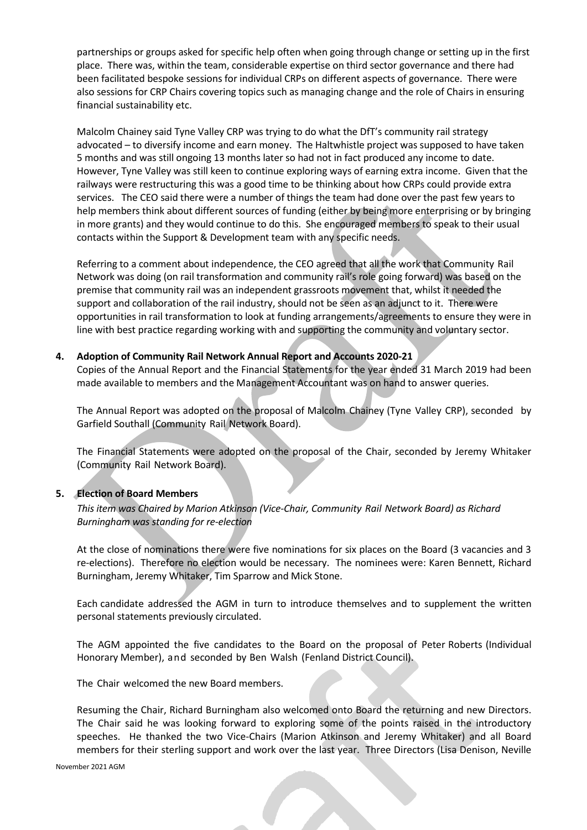partnerships or groups asked for specific help often when going through change or setting up in the first place. There was, within the team, considerable expertise on third sector governance and there had been facilitated bespoke sessions for individual CRPs on different aspects of governance. There were also sessions for CRP Chairs covering topics such as managing change and the role of Chairs in ensuring financial sustainability etc.

Malcolm Chainey said Tyne Valley CRP was trying to do what the DfT's community rail strategy advocated – to diversify income and earn money. The Haltwhistle project was supposed to have taken 5 months and was still ongoing 13 months later so had not in fact produced any income to date. However, Tyne Valley was still keen to continue exploring ways of earning extra income. Given that the railways were restructuring this was a good time to be thinking about how CRPs could provide extra services. The CEO said there were a number of things the team had done over the past few years to help members think about different sources of funding (either by being more enterprising or by bringing in more grants) and they would continue to do this. She encouraged members to speak to their usual contacts within the Support & Development team with any specific needs.

Referring to a comment about independence, the CEO agreed that all the work that Community Rail Network was doing (on rail transformation and community rail's role going forward) was based on the premise that community rail was an independent grassroots movement that, whilst it needed the support and collaboration of the rail industry, should not be seen as an adjunct to it. There were opportunities in rail transformation to look at funding arrangements/agreements to ensure they were in line with best practice regarding working with and supporting the community and voluntary sector.

#### **4. Adoption of Community Rail Network Annual Report and Accounts 2020-21**

Copies of the Annual Report and the Financial Statements for the year ended 31 March 2019 had been made available to members and the Management Accountant was on hand to answer queries.

The Annual Report was adopted on the proposal of Malcolm Chainey (Tyne Valley CRP), seconded by Garfield Southall (Community Rail Network Board).

The Financial Statements were adopted on the proposal of the Chair, seconded by Jeremy Whitaker (Community Rail Network Board).

#### **5. Election of Board Members**

*This item was Chaired by Marion Atkinson (Vice-Chair, Community Rail Network Board) as Richard Burningham was standing for re-election*

At the close of nominations there were five nominations for six places on the Board (3 vacancies and 3 re-elections). Therefore no election would be necessary. The nominees were: Karen Bennett, Richard Burningham, Jeremy Whitaker, Tim Sparrow and Mick Stone.

Each candidate addressed the AGM in turn to introduce themselves and to supplement the written personal statements previously circulated.

The AGM appointed the five candidates to the Board on the proposal of Peter Roberts (Individual Honorary Member), and seconded by Ben Walsh (Fenland District Council).

The Chair welcomed the new Board members.

Resuming the Chair, Richard Burningham also welcomed onto Board the returning and new Directors. The Chair said he was looking forward to exploring some of the points raised in the introductory speeches. He thanked the two Vice-Chairs (Marion Atkinson and Jeremy Whitaker) and all Board members for their sterling support and work over the last year. Three Directors (Lisa Denison, Neville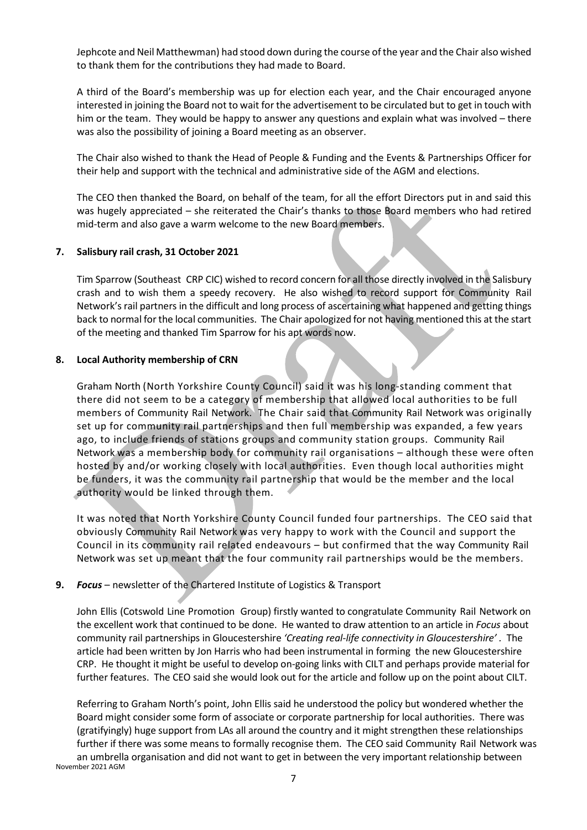Jephcote and Neil Matthewman) had stood down during the course of the year and the Chair also wished to thank them for the contributions they had made to Board.

A third of the Board's membership was up for election each year, and the Chair encouraged anyone interested in joining the Board not to wait for the advertisement to be circulated but to get in touch with him or the team. They would be happy to answer any questions and explain what was involved – there was also the possibility of joining a Board meeting as an observer.

The Chair also wished to thank the Head of People & Funding and the Events & Partnerships Officer for their help and support with the technical and administrative side of the AGM and elections.

The CEO then thanked the Board, on behalf of the team, for all the effort Directors put in and said this was hugely appreciated – she reiterated the Chair's thanks to those Board members who had retired mid-term and also gave a warm welcome to the new Board members.

### **7. Salisbury rail crash, 31 October 2021**

Tim Sparrow (Southeast CRP CIC) wished to record concern for all those directly involved in the Salisbury crash and to wish them a speedy recovery. He also wished to record support for Community Rail Network's rail partners in the difficult and long process of ascertaining what happened and getting things back to normal for the local communities. The Chair apologized for not having mentioned this at the start of the meeting and thanked Tim Sparrow for his apt words now.

## **8. Local Authority membership of CRN**

Graham North (North Yorkshire County Council) said it was his long-standing comment that there did not seem to be a category of membership that allowed local authorities to be full members of Community Rail Network. The Chair said that Community Rail Network was originally set up for community rail partnerships and then full membership was expanded, a few years ago, to include friends of stations groups and community station groups. Community Rail Network was a membership body for community rail organisations – although these were often hosted by and/or working closely with local authorities. Even though local authorities might be funders, it was the community rail partnership that would be the member and the local authority would be linked through them.

It was noted that North Yorkshire County Council funded four partnerships. The CEO said that obviously Community Rail Network was very happy to work with the Council and support the Council in its community rail related endeavours – but confirmed that the way Community Rail Network was set up meant that the four community rail partnerships would be the members.

# **9.** *Focus* – newsletter of the Chartered Institute of Logistics & Transport

John Ellis (Cotswold Line Promotion Group) firstly wanted to congratulate Community Rail Network on the excellent work that continued to be done. He wanted to draw attention to an article in *Focus* about community rail partnerships in Gloucestershire *'Creating real-life connectivity in Gloucestershire' .* The article had been written by Jon Harris who had been instrumental in forming the new Gloucestershire CRP. He thought it might be useful to develop on-going links with CILT and perhaps provide material for further features. The CEO said she would look out for the article and follow up on the point about CILT.

November 2021 AGM Referring to Graham North's point, John Ellis said he understood the policy but wondered whether the Board might consider some form of associate or corporate partnership for local authorities. There was (gratifyingly) huge support from LAs all around the country and it might strengthen these relationships further if there was some means to formally recognise them. The CEO said Community Rail Network was an umbrella organisation and did not want to get in between the very important relationship between